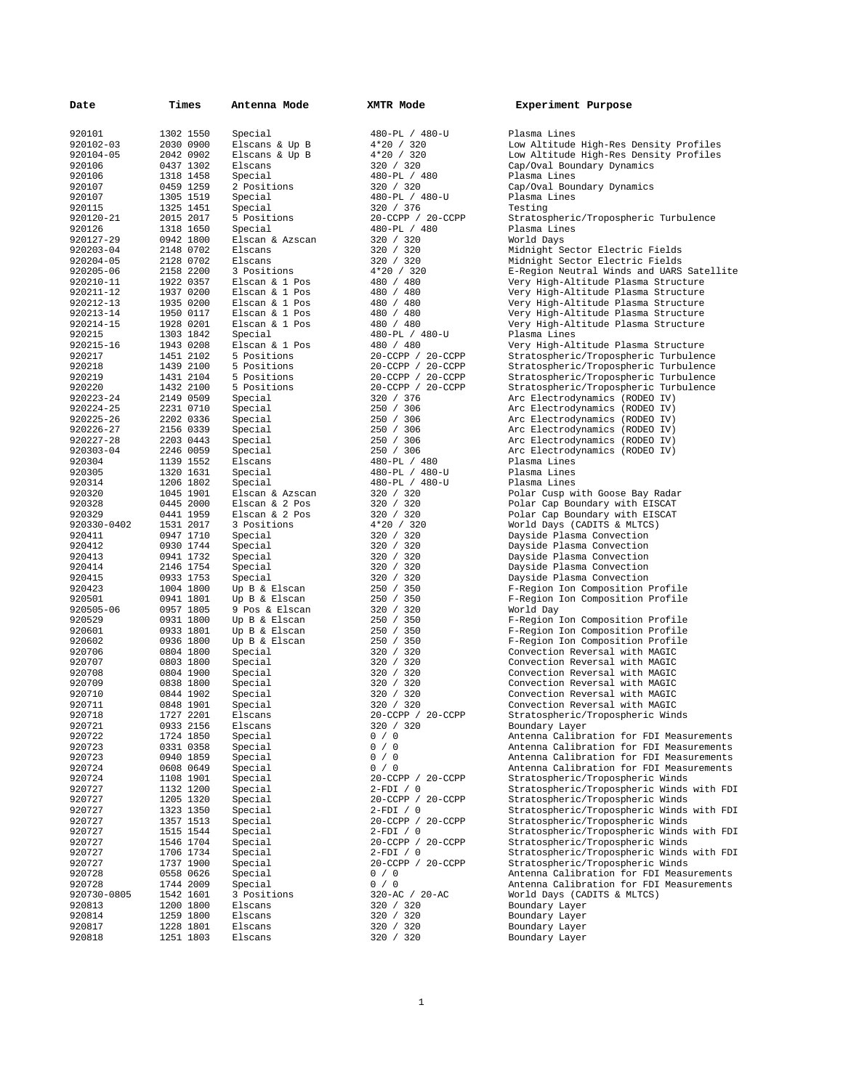| Date        | Times     | Antenna Mode    | XMTR Mode         | Experiment Purpose             |
|-------------|-----------|-----------------|-------------------|--------------------------------|
|             |           |                 |                   |                                |
| 920101      | 1302 1550 | Special         | 480-PL / 480-U    | Plasma Lines                   |
| 920102-03   | 2030 0900 | Elscans & Up B  | $4*20 / 320$      | Low Altitude High-Res Density  |
| 920104-05   | 2042 0902 | Elscans & Up B  | 4*20 / 320        | Low Altitude High-Res Density  |
| 920106      | 0437 1302 | Elscans         | 320 / 320         | Cap/Oval Boundary Dynamics     |
| 920106      | 1318 1458 | Special         | 480-PL / 480      | Plasma Lines                   |
| 920107      | 0459 1259 | 2 Positions     | 320 / 320         | Cap/Oval Boundary Dynamics     |
| 920107      | 1305 1519 | Special         | 480-PL / 480-U    | Plasma Lines                   |
| 920115      | 1325 1451 | Special         | 320 / 376         | Testing                        |
|             |           |                 |                   |                                |
| 920120-21   | 2015 2017 | 5 Positions     | 20-CCPP / 20-CCPP | Stratospheric/Tropospheric Tur |
| 920126      | 1318 1650 | Special         | 480-PL / 480      | Plasma Lines                   |
| 920127-29   | 0942 1800 | Elscan & Azscan | 320 / 320         | World Days                     |
| 920203-04   | 2148 0702 | Elscans         | 320 / 320         | Midnight Sector Electric Field |
| 920204-05   | 2128 0702 | Elscans         | 320 / 320         | Midnight Sector Electric Field |
| 920205-06   | 2158 2200 | 3 Positions     | $4*20 / 320$      | E-Region Neutral Winds and UAR |
| 920210-11   | 1922 0357 | Elscan & 1 Pos  | 480 / 480         | Very High-Altitude Plasma Stru |
| 920211-12   | 1937 0200 | Elscan & 1 Pos  | 480 / 480         | Very High-Altitude Plasma Stru |
| 920212-13   | 1935 0200 | Elscan & 1 Pos  | 480 / 480         | Very High-Altitude Plasma Stru |
| 920213-14   | 1950 0117 | Elscan & 1 Pos  | 480 / 480         | Very High-Altitude Plasma Stru |
| 920214-15   | 1928 0201 | Elscan & 1 Pos  | 480 / 480         | Very High-Altitude Plasma Stru |
| 920215      | 1303 1842 | Special         | 480-PL / 480-U    | Plasma Lines                   |
| 920215-16   | 1943 0208 | Elscan & 1 Pos  | 480 / 480         | Very High-Altitude Plasma Stru |
| 920217      | 1451 2102 | 5 Positions     | 20-CCPP / 20-CCPP | Stratospheric/Tropospheric Tur |
|             |           |                 |                   |                                |
| 920218      | 1439 2100 | 5 Positions     | 20-CCPP / 20-CCPP | Stratospheric/Tropospheric Tur |
| 920219      | 1431 2104 | 5 Positions     | 20-CCPP / 20-CCPP | Stratospheric/Tropospheric Tur |
| 920220      | 1432 2100 | 5 Positions     | 20-CCPP / 20-CCPP | Stratospheric/Tropospheric Tur |
| 920223-24   | 2149 0509 | Special         | 320 / 376         | Arc Electrodynamics (RODEO IV) |
| 920224-25   | 2231 0710 | Special         | 250 / 306         | Arc Electrodynamics (RODEO IV) |
| 920225-26   | 2202 0336 | Special         | 250 / 306         | Arc Electrodynamics (RODEO IV) |
| 920226-27   | 2156 0339 | Special         | 250 / 306         | Arc Electrodynamics (RODEO IV) |
| 920227-28   | 2203 0443 | Special         | 250 / 306         | Arc Electrodynamics (RODEO IV) |
| 920303-04   | 2246 0059 | Special         | 250 / 306         | Arc Electrodynamics (RODEO IV) |
| 920304      | 1139 1552 | Elscans         | 480-PL / 480      | Plasma Lines                   |
| 920305      | 1320 1631 | Special         | 480-PL / 480-U    | Plasma Lines                   |
| 920314      | 1206 1802 | Special         | 480-PL / 480-U    | Plasma Lines                   |
| 920320      | 1045 1901 | Elscan & Azscan | 320 / 320         | Polar Cusp with Goose Bay Rada |
| 920328      | 0445 2000 | Elscan & 2 Pos  | 320 / 320         | Polar Cap Boundary with EISCAT |
| 920329      | 0441 1959 | Elscan & 2 Pos  | 320 / 320         | Polar Cap Boundary with EISCAT |
|             | 1531 2017 | 3 Positions     | 4*20 / 320        |                                |
| 920330-0402 |           |                 |                   | World Days (CADITS & MLTCS)    |
| 920411      | 0947 1710 | Special         | 320 / 320         | Dayside Plasma Convection      |
| 920412      | 0930 1744 | Special         | 320 / 320         | Dayside Plasma Convection      |
| 920413      | 0941 1732 | Special         | 320 / 320         | Dayside Plasma Convection      |
| 920414      | 2146 1754 | Special         | 320 / 320         | Dayside Plasma Convection      |
| 920415      | 0933 1753 | Special         | 320 / 320         | Dayside Plasma Convection      |
| 920423      | 1004 1800 | Up B & Elscan   | 250 / 350         | F-Region Ion Composition Profi |
| 920501      | 0941 1801 | Up B & Elscan   | 250 / 350         | F-Region Ion Composition Profi |
| 920505-06   | 0957 1805 | 9 Pos & Elscan  | 320 / 320         | World Day                      |
| 920529      | 0931 1800 | Up B & Elscan   | 250 / 350         | F-Region Ion Composition Profi |
| 920601      | 0933 1801 | Up B & Elscan   | 250 / 350         | F-Region Ion Composition Profi |
| 920602      | 0936 1800 | Up B & Elscan   | 250 / 350         | F-Region Ion Composition Profi |
| 920706      | 0804 1800 | Special         | 320 / 320         | Convection Reversal with MAGIC |
| 920707      | 0803 1800 | Special         | 320 / 320         | Convection Reversal with MAGIC |
| 920708      | 0804 1900 | Special         | 320 / 320         | Convection Reversal with MAGIC |
| 920709      |           |                 | 320 / 320         |                                |
|             | 0838 1800 | Special         |                   | Convection Reversal with MAGIC |
| 920710      | 0844 1902 | Special         | 320 / 320         | Convection Reversal with MAGIC |
| 920711      | 0848 1901 | Special         | 320 / 320         | Convection Reversal with MAGIC |
| 920718      | 1727 2201 | Elscans         | 20-CCPP / 20-CCPP | Stratospheric/Tropospheric Win |
| 920721      | 0933 2156 | Elscans         | 320 / 320         | Boundary Layer                 |
| 920722      | 1724 1850 | Special         | 0 / 0             | Antenna Calibration for FDI Me |
| 920723      | 0331 0358 | Special         | 0 / 0             | Antenna Calibration for FDI Me |
| 920723      | 0940 1859 | Special         | 0 / 0             | Antenna Calibration for FDI Me |
| 920724      | 0608 0649 | Special         | 0 / 0             | Antenna Calibration for FDI Me |
| 920724      | 1108 1901 | Special         | 20-CCPP / 20-CCPP | Stratospheric/Tropospheric Win |
| 920727      | 1132 1200 | Special         | $2-FDI / 0$       | Stratospheric/Tropospheric Win |
| 920727      | 1205 1320 | Special         | 20-CCPP / 20-CCPP | Stratospheric/Tropospheric Win |
| 920727      | 1323 1350 | Special         | $2-FDI / 0$       | Stratospheric/Tropospheric Win |
| 920727      | 1357 1513 | Special         | 20-CCPP / 20-CCPP | Stratospheric/Tropospheric Win |
| 920727      | 1515 1544 | Special         | $2-FDI / 0$       | Stratospheric/Tropospheric Win |
| 920727      | 1546 1704 | Special         | 20-CCPP / 20-CCPP | Stratospheric/Tropospheric Win |
|             |           |                 |                   |                                |
| 920727      | 1706 1734 | Special         | $2-FDI / 0$       | Stratospheric/Tropospheric Win |
| 920727      | 1737 1900 | Special         | 20-CCPP / 20-CCPP | Stratospheric/Tropospheric Win |
| 920728      | 0558 0626 | Special         | 0 / 0             | Antenna Calibration for FDI Me |
| 920728      | 1744 2009 | Special         | 0 / 0             | Antenna Calibration for FDI Me |
| 920730-0805 | 1542 1601 | 3 Positions     | 320-AC / 20-AC    | World Days (CADITS & MLTCS)    |
| 920813      | 1200 1800 | Elscans         | 320 / 320         | Boundary Layer                 |
| 920814      | 1259 1800 | Elscans         | 320 / 320         | Boundary Layer                 |
| 920817      | 1228 1801 | Elscans         | 320 / 320         | Boundary Layer                 |
| 920818      | 1251 1803 | Elscans         | 320 / 320         | Boundary Layer                 |
|             |           |                 |                   |                                |

1

|                          | $0-PL$                                                                                                                                                                                                                                                                                                                                                      |                          | $/ 480 - U$              |  |  |           |             |  |  |
|--------------------------|-------------------------------------------------------------------------------------------------------------------------------------------------------------------------------------------------------------------------------------------------------------------------------------------------------------------------------------------------------------|--------------------------|--------------------------|--|--|-----------|-------------|--|--|
|                          | $\begin{array}{c} 20 \\ 20 \\ 20 \\ 320 \\ 0 \\ 320 \\ \end{array}$                                                                                                                                                                                                                                                                                         |                          |                          |  |  |           |             |  |  |
|                          |                                                                                                                                                                                                                                                                                                                                                             |                          |                          |  |  |           |             |  |  |
| $\overline{0}$ -         |                                                                                                                                                                                                                                                                                                                                                             |                          |                          |  |  |           |             |  |  |
| $\overline{0}$           | $PL / 480$<br>$/ 320$                                                                                                                                                                                                                                                                                                                                       |                          |                          |  |  |           |             |  |  |
|                          | $0-PL / 480-U$                                                                                                                                                                                                                                                                                                                                              |                          |                          |  |  |           |             |  |  |
|                          | 0 / 376                                                                                                                                                                                                                                                                                                                                                     |                          |                          |  |  |           |             |  |  |
|                          | -CCPP / 20-CCPP<br>0-PL / 480                                                                                                                                                                                                                                                                                                                               |                          |                          |  |  |           |             |  |  |
|                          |                                                                                                                                                                                                                                                                                                                                                             |                          |                          |  |  |           |             |  |  |
|                          | 0 / 320<br>/                                                                                                                                                                                                                                                                                                                                                |                          | 320                      |  |  |           |             |  |  |
| 0<br>0                   | $\overline{1}$                                                                                                                                                                                                                                                                                                                                              |                          | 320                      |  |  |           |             |  |  |
|                          | 20                                                                                                                                                                                                                                                                                                                                                          |                          | /320                     |  |  |           |             |  |  |
|                          | 0 /                                                                                                                                                                                                                                                                                                                                                         |                          | 480                      |  |  |           |             |  |  |
|                          |                                                                                                                                                                                                                                                                                                                                                             |                          | 480<br>480               |  |  |           |             |  |  |
|                          | $\begin{array}{cc} 0 & / & 0 \\ 0 & / & 0 \\ 0 & / & 0 \end{array}$                                                                                                                                                                                                                                                                                         |                          | 480                      |  |  |           |             |  |  |
| 0                        | $\overline{1}$                                                                                                                                                                                                                                                                                                                                              |                          | 480                      |  |  |           |             |  |  |
|                          | $0-PL / 480-U$                                                                                                                                                                                                                                                                                                                                              |                          |                          |  |  |           |             |  |  |
|                          | 0 / 480                                                                                                                                                                                                                                                                                                                                                     |                          |                          |  |  |           |             |  |  |
|                          | - / 100<br>-CCPP / 20-CCPP<br>-CCPP / 20-CCPP<br>-CCPP / 20-CCPP<br>-CCPP / 20-CCPP                                                                                                                                                                                                                                                                         |                          |                          |  |  |           |             |  |  |
|                          |                                                                                                                                                                                                                                                                                                                                                             |                          |                          |  |  |           |             |  |  |
|                          |                                                                                                                                                                                                                                                                                                                                                             |                          |                          |  |  |           |             |  |  |
|                          | 0 / 376                                                                                                                                                                                                                                                                                                                                                     |                          |                          |  |  |           |             |  |  |
|                          |                                                                                                                                                                                                                                                                                                                                                             |                          | 306                      |  |  |           |             |  |  |
|                          | $\begin{array}{c} 0 \\ 0 \\ 0 \\ 0 \\ 0 \\ \end{array}$                                                                                                                                                                                                                                                                                                     |                          | 306<br>306               |  |  |           |             |  |  |
|                          |                                                                                                                                                                                                                                                                                                                                                             |                          |                          |  |  |           |             |  |  |
|                          | 0 / 30.<br>0 / 306<br>0-PL / 480<br>0-PL / 480<br>^-PL / 480                                                                                                                                                                                                                                                                                                |                          |                          |  |  |           |             |  |  |
|                          |                                                                                                                                                                                                                                                                                                                                                             |                          |                          |  |  |           |             |  |  |
|                          | 0-PL / 480-U                                                                                                                                                                                                                                                                                                                                                |                          |                          |  |  | $480 - U$ |             |  |  |
|                          |                                                                                                                                                                                                                                                                                                                                                             |                          | 320                      |  |  |           |             |  |  |
| 0<br>0<br>0              | $\frac{1}{\sqrt{2}}$                                                                                                                                                                                                                                                                                                                                        |                          | 320                      |  |  |           |             |  |  |
|                          | $\begin{array}{c} 0 \\ 20 \end{array}$                                                                                                                                                                                                                                                                                                                      |                          | 320                      |  |  |           |             |  |  |
|                          |                                                                                                                                                                                                                                                                                                                                                             |                          | 320                      |  |  |           |             |  |  |
|                          | $\begin{array}{c} 0 \ / \ \ 320 \\ 0 \ / \ \ 320 \\ 0 \ / \ \ 320 \\ 0 \ / \ \ 350 \\ 0 \ / \ \ 350 \\ 0 \ / \ \ 350 \\ 0 \ / \ \ 350 \\ 0 \ / \ \ 350 \\ 0 \ / \ \ 320 \\ 0 \ / \ \ 320 \\ 0 \ / \ \ 320 \\ 0 \ / \ \ 320 \\ 0 \ / \ \ 320 \\ 0 \ / \ \ 320 \\ 0 \ / \ \ 320 \\ 0 \ / \ \ 320 \\ 0 \ / \ \ 320 \\ 0 \ / \ \ 320 \\ 0 \ / \ \ 320 \\ 0 \ /$ |                          |                          |  |  |           |             |  |  |
|                          |                                                                                                                                                                                                                                                                                                                                                             |                          |                          |  |  |           |             |  |  |
|                          |                                                                                                                                                                                                                                                                                                                                                             |                          |                          |  |  |           |             |  |  |
|                          |                                                                                                                                                                                                                                                                                                                                                             |                          |                          |  |  |           |             |  |  |
|                          |                                                                                                                                                                                                                                                                                                                                                             |                          |                          |  |  |           |             |  |  |
|                          |                                                                                                                                                                                                                                                                                                                                                             |                          |                          |  |  |           |             |  |  |
|                          |                                                                                                                                                                                                                                                                                                                                                             |                          |                          |  |  |           |             |  |  |
|                          |                                                                                                                                                                                                                                                                                                                                                             |                          |                          |  |  |           |             |  |  |
|                          |                                                                                                                                                                                                                                                                                                                                                             |                          |                          |  |  |           |             |  |  |
|                          |                                                                                                                                                                                                                                                                                                                                                             |                          |                          |  |  |           |             |  |  |
|                          |                                                                                                                                                                                                                                                                                                                                                             |                          |                          |  |  |           |             |  |  |
|                          |                                                                                                                                                                                                                                                                                                                                                             |                          |                          |  |  |           |             |  |  |
|                          |                                                                                                                                                                                                                                                                                                                                                             |                          |                          |  |  |           |             |  |  |
|                          |                                                                                                                                                                                                                                                                                                                                                             |                          |                          |  |  |           | $20 - CCPP$ |  |  |
| 0                        | $\overline{\phantom{a}}$                                                                                                                                                                                                                                                                                                                                    |                          | 320                      |  |  |           |             |  |  |
| 1                        | 0                                                                                                                                                                                                                                                                                                                                                           |                          |                          |  |  |           |             |  |  |
| $\frac{1}{1}$            | 0                                                                                                                                                                                                                                                                                                                                                           |                          |                          |  |  |           |             |  |  |
|                          | 0                                                                                                                                                                                                                                                                                                                                                           |                          |                          |  |  |           |             |  |  |
|                          | $\begin{array}{c} \begin{array}{c} \angle \end{array} 0 \\ - \text{CCPP} \end{array}$                                                                                                                                                                                                                                                                       |                          | $\!mathcal{I}$           |  |  |           | $20 - CCPP$ |  |  |
|                          | FDI                                                                                                                                                                                                                                                                                                                                                         | $\overline{\phantom{a}}$ | 0                        |  |  |           |             |  |  |
|                          | $-CCPP$                                                                                                                                                                                                                                                                                                                                                     |                          | $\overline{\phantom{a}}$ |  |  |           | 20-CCPP     |  |  |
|                          | FDI /                                                                                                                                                                                                                                                                                                                                                       |                          | 0                        |  |  |           |             |  |  |
|                          | $-CCPP$<br>FDI                                                                                                                                                                                                                                                                                                                                              | $\overline{\phantom{a}}$ | /<br>0                   |  |  |           | 20-CCPP     |  |  |
|                          | $-CCPP$                                                                                                                                                                                                                                                                                                                                                     |                          | $\prime$                 |  |  |           | $20 - CCPP$ |  |  |
|                          | FDI /                                                                                                                                                                                                                                                                                                                                                       |                          | 0                        |  |  |           |             |  |  |
|                          | $-CCPP$                                                                                                                                                                                                                                                                                                                                                     |                          | $\prime$                 |  |  |           | $20 - CCPP$ |  |  |
| $\overline{\phantom{a}}$ | 0<br>0                                                                                                                                                                                                                                                                                                                                                      |                          |                          |  |  |           |             |  |  |
| /<br>0.                  | АC                                                                                                                                                                                                                                                                                                                                                          |                          | $/ 20 - AC$              |  |  |           |             |  |  |
| 0                        | $\overline{1}$                                                                                                                                                                                                                                                                                                                                              |                          | 320                      |  |  |           |             |  |  |
| 0                        | /                                                                                                                                                                                                                                                                                                                                                           |                          | 320                      |  |  |           |             |  |  |
| 0                        | /                                                                                                                                                                                                                                                                                                                                                           |                          | 320                      |  |  |           |             |  |  |
| 0                        | Ι                                                                                                                                                                                                                                                                                                                                                           |                          | 320                      |  |  |           |             |  |  |

| Experiment Purpose |  |
|--------------------|--|
|--------------------|--|

Plasma Lines Low Altitude High-Res Density Profiles Low Altitude High-Res Density Profiles Cap/Oval Boundary Dynamics Plasma Lines Cap/Oval Boundary Dynamics<br>Plasma Lines Propospheric/Tropospheric Turbulence Plasma Lines World Days Midnight Sector Electric Fields Midnight Sector Electric Fields E-Region Neutral Winds and UARS Satellite Very High-Altitude Plasma Structure Very High-Altitude Plasma Structure Very High-Altitude Plasma Structure Very High-Altitude Plasma Structure Very High-Altitude Plasma Structure Plasma Lines Very High-Altitude Plasma Structure Stratospheric/Tropospheric Turbulence Stratospheric/Tropospheric Turbulence Stratospheric/Tropospheric Turbulence Stratospheric/Tropospheric Turbulence Arc Electrodynamics (RODEO IV) Arc Electrodynamics (RODEO IV) Arc Electrodynamics (RODEO IV) Arc Electrodynamics (RODEO IV) Arc Electrodynamics (RODEO IV) Arc Electrodynamics (RODEO IV) Plasma Lines Plasma Lines Plasma Lines Polar Cusp with Goose Bay Radar World Days (CADITS & MLTCS) Dayside Plasma Convection Dayside Plasma Convection Dayside Plasma Convection Dayside Plasma Convection Dayside Plasma Convection F-Region Ion Composition Profile F-Region Ion Composition Profile World Day F-Region Ion Composition Profile F-Region Ion Composition Profile F-Region Ion Composition Profile Convection Reversal with MAGIC Convection Reversal with MAGIC Convection Reversal with MAGIC Convection Reversal with MAGIC Convection Reversal with MAGIC Convection Reversal with MAGIC Stratospheric/Tropospheric Winds Boundary Layer Antenna Calibration for FDI Measurements Antenna Calibration for FDI Measurements Antenna Calibration for FDI Measurements Antenna Calibration for FDI Measurements Stratospheric/Tropospheric Winds Stratospheric/Tropospheric Winds with FDI Stratospheric/Tropospheric Winds Stratospheric/Tropospheric Winds with FDI Stratospheric/Tropospheric Winds Stratospheric/Tropospheric Winds with FDI Stratospheric/Tropospheric Winds Stratospheric/Tropospheric Winds with FDI Stratospheric/Tropospheric Winds Antenna Calibration for FDI Measurements Antenna Calibration for FDI Measurements World Days (CADITS & MLTCS) Boundary Layer Boundary Layer Boundary Layer Boundary Layer